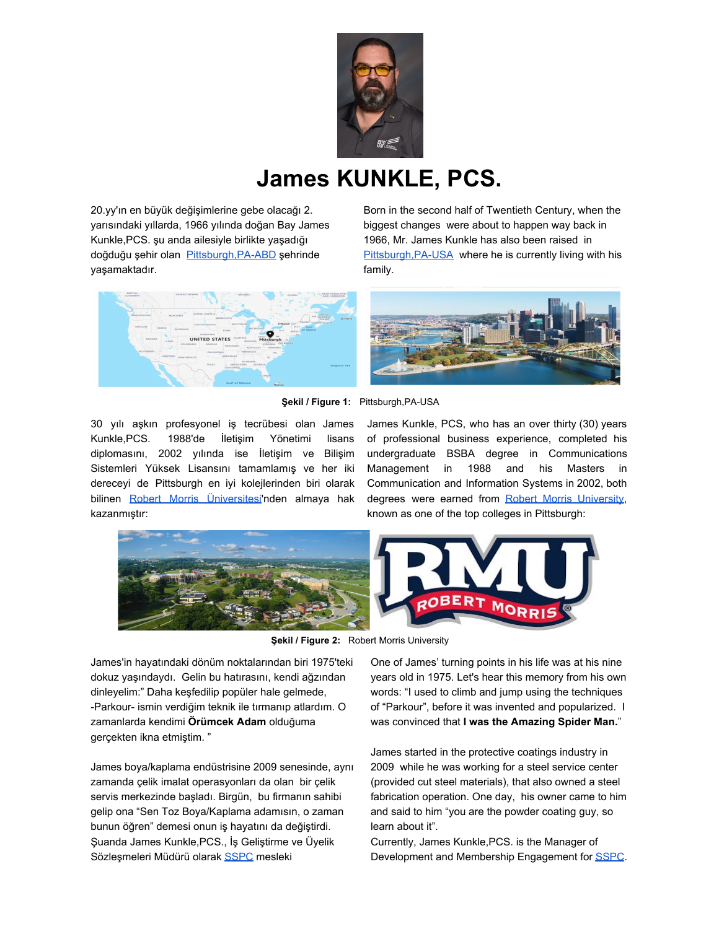

## **James KUNKLE, PCS.**

20.yy'ın en büyük değişimlerine gebe olacağı 2. yarısındaki yıllarda, 1966 yılında doğan Bay James Kunkle,PCS. şu anda ailesiyle birlikte yaşadığı doğduğu şehir olan Pittsburgh, PA-ABD şehrinde yaşamaktadır.

Born in the second half of Twentieth Century, when the biggest changes were about to happen way back in 1966, Mr. James Kunkle has also been raised in Pittsburgh, PA-USA where he is currently living with his family.





**Şekil / Figure 1:** Pittsburgh,PA-USA

30 yılı aşkın profesyonel iş tecrübesi olan James Kunkle,PCS. 1988'de İletişim Yönetimi lisans diplomasını, 2002 yılında ise İletişim ve Bilişim Sistemleri Yüksek Lisansını tamamlamış ve her iki dereceyi de Pittsburgh en iyi kolejlerinden biri olarak bilinen Robert Morris [Üniversitesi](https://www.rmu.edu/)'nden almaya hak kazanmıştır:

James Kunkle, PCS, who has an over thirty (30) years of professional business experience, completed his undergraduate BSBA degree in Communications Management in 1988 and his Masters in Communication and Information Systems in 2002, both degrees were earned from Robert Morris [University,](https://www.rmu.edu/) known as one of the top colleges in Pittsburgh:



**Şekil / Figure 2:** Robert Morris University

James'in hayatındaki dönüm noktalarından biri 1975'teki dokuz yaşındaydı. Gelin bu hatırasını, kendi ağzından dinleyelim:" Daha keşfedilip popüler hale gelmede, -Parkour- ismin verdiğim teknik ile tırmanıp atlardım. O zamanlarda kendimi **Örümcek Adam** olduğuma gerçekten ikna etmiştim. "

James boya/kaplama endüstrisine 2009 senesinde, aynı zamanda çelik imalat operasyonları da olan bir çelik servis merkezinde başladı. Birgün, bu firmanın sahibi gelip ona "Sen Toz Boya/Kaplama adamısın, o zaman bunun öğren" demesi onun iş hayatını da değiştirdi. Şuanda James Kunkle,PCS., İş Geliştirme ve Üyelik Sözleşmeleri Müdürü olarak [SSPC](https://www.sspc.org/) mesleki

One of James' turning points in his life was at his nine years old in 1975. Let's hear this memory from his own words: "I used to climb and jump using the techniques of "Parkour", before it was invented and popularized. I was convinced that **I was the Amazing Spider Man.**"

James started in the protective coatings industry in 2009 while he was working for a steel service center (provided cut steel materials), that also owned a steel fabrication operation. One day, his owner came to him and said to him "you are the powder coating guy, so learn about it".

Currently, James Kunkle,PCS. is the Manager of Development and Membership Engagement for [SSPC.](https://www.sspc.org/)